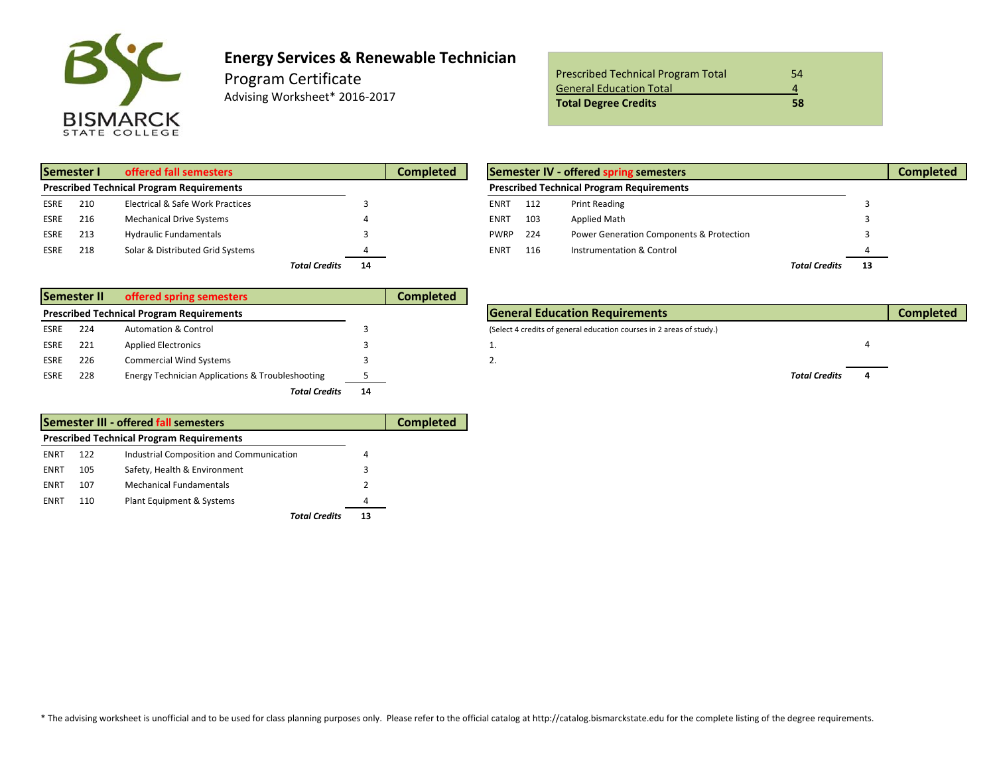

## **Energy Services & Renewable Technician**

Program Certificate Advising Worksheet\* 2016‐2017

| <b>Prescribed Technical Program Total</b> | 54 |
|-------------------------------------------|----|
| <b>General Education Total</b>            |    |
| <b>Total Degree Credits</b>               | 58 |

| Semester I                                       |     | offered fall semesters           | <b>Completed</b>           | Semester IV - offered spring semesters |                                                  |     |                                          |                      |  |
|--------------------------------------------------|-----|----------------------------------|----------------------------|----------------------------------------|--------------------------------------------------|-----|------------------------------------------|----------------------|--|
| <b>Prescribed Technical Program Requirements</b> |     |                                  |                            |                                        | <b>Prescribed Technical Program Requirements</b> |     |                                          |                      |  |
| ESRE                                             | 210 | Electrical & Safe Work Practices |                            |                                        | <b>ENRT</b>                                      | 112 | <b>Print Reading</b>                     |                      |  |
| ESRE                                             | 216 | <b>Mechanical Drive Systems</b>  |                            |                                        | ENRT                                             | 103 | Applied Math                             |                      |  |
| ESRE                                             | 213 | <b>Hydraulic Fundamentals</b>    |                            |                                        | <b>PWRP</b>                                      | 224 | Power Generation Components & Protection |                      |  |
| <b>ESRE</b>                                      | 218 | Solar & Distributed Grid Systems |                            |                                        | <b>ENRT</b>                                      | 116 | Instrumentation & Control                |                      |  |
|                                                  |     |                                  | <b>Total Credits</b><br>14 |                                        |                                                  |     |                                          | <b>Total Credits</b> |  |

| ed fall semesters          |                      |    | <b>Completed</b> |             |                                                  | Semester IV - offered spring semesters   |                      |    | <b>Completed</b> |
|----------------------------|----------------------|----|------------------|-------------|--------------------------------------------------|------------------------------------------|----------------------|----|------------------|
| ogram Requirements         |                      |    |                  |             | <b>Prescribed Technical Program Requirements</b> |                                          |                      |    |                  |
| ical & Safe Work Practices |                      |    |                  | ENRT        | 112                                              | <b>Print Reading</b>                     |                      |    |                  |
| anical Drive Systems       |                      |    |                  | ENRT        | 103                                              | Applied Math                             |                      |    |                  |
| ulic Fundamentals          |                      |    |                  | <b>PWRP</b> | 224                                              | Power Generation Components & Protection |                      |    |                  |
| & Distributed Grid Systems |                      |    |                  | ENRT        | 116                                              | Instrumentation & Control                |                      |    |                  |
|                            | <b>Total Credits</b> | 14 |                  |             |                                                  |                                          | <b>Total Credits</b> | 13 |                  |

|                                                  | Semester II | offered spring semesters                         |    | Completed                             |                                                                      |                      |  |
|--------------------------------------------------|-------------|--------------------------------------------------|----|---------------------------------------|----------------------------------------------------------------------|----------------------|--|
| <b>Prescribed Technical Program Requirements</b> |             |                                                  |    | <b>General Education Requirements</b> |                                                                      |                      |  |
| ESRE                                             | 224         | <b>Automation &amp; Control</b>                  |    |                                       | (Select 4 credits of general education courses in 2 areas of study.) |                      |  |
| ESRE                                             | 221         | <b>Applied Electronics</b>                       |    |                                       | ∸.                                                                   |                      |  |
| <b>ESRE</b>                                      | 226         | <b>Commercial Wind Systems</b>                   |    |                                       | ٠.                                                                   |                      |  |
| <b>ESRE</b>                                      | 228         | Energy Technician Applications & Troubleshooting |    |                                       |                                                                      | <b>Total Credits</b> |  |
|                                                  |             | <b>Total Credits</b>                             | 14 |                                       |                                                                      |                      |  |

|      |     | Semester III - offered fall semesters            |    | <b>Completed</b> |
|------|-----|--------------------------------------------------|----|------------------|
|      |     | <b>Prescribed Technical Program Requirements</b> |    |                  |
| ENRT | 122 | Industrial Composition and Communication         | 4  |                  |
| ENRT | 105 | Safety, Health & Environment                     | 3  |                  |
| ENRT | 107 | Mechanical Fundamentals                          | 2  |                  |
| ENRT | 110 | Plant Equipment & Systems                        | 4  |                  |
|      |     | Total Credits                                    | 13 |                  |

**Technical Education Requirements Completed General Completed** (Select 4 credits of general education courses in 2 areas of study.)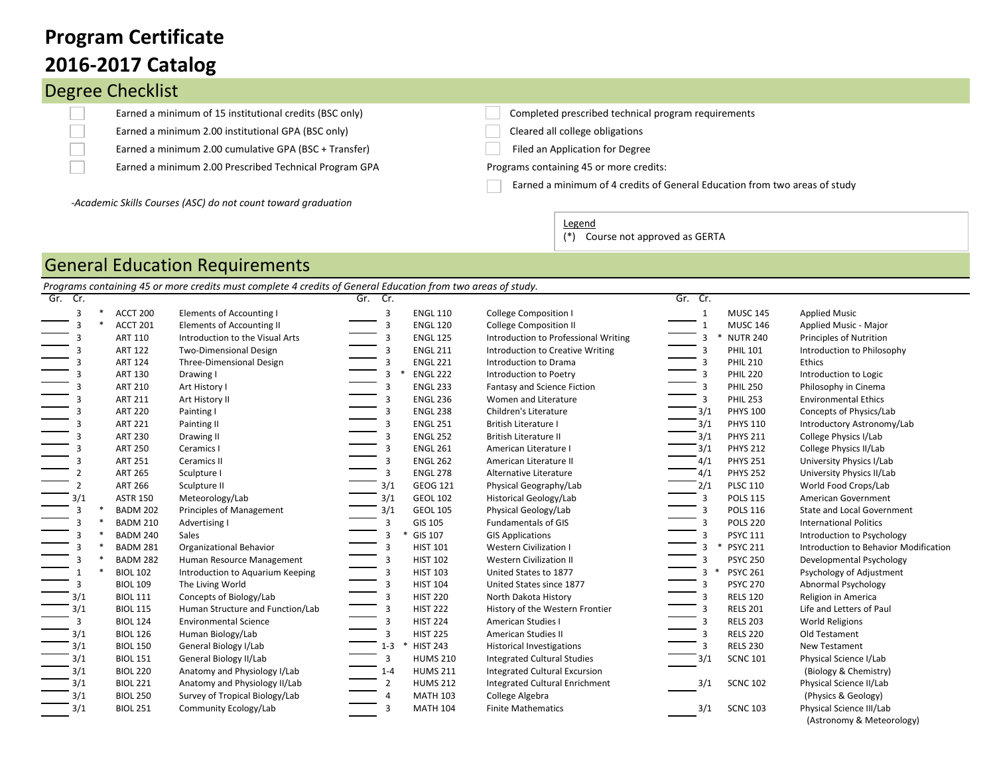## **2016-2017 Catalog Program Certificate**

 $\Box$ 

L. L. L. ÷ ÷

 $\overline{\phantom{0}}$  $\overline{\phantom{0}}$  $\overline{\phantom{0}}$ 

÷ ÷ Ē.

 $\overline{\phantom{0}}$ ÷ ÷ ÷ L.  $\overline{\phantom{0}}$ L.  $\overline{\phantom{0}}$  $\overline{\phantom{0}}$ 

|  | <b>Degree Checklist</b>                                 |  |
|--|---------------------------------------------------------|--|
|  | Earned a minimum of 15 institutional credits (BSC only) |  |
|  | Earned a minimum 2.00 institutional GPA (BSC only)      |  |

Earned a minimum 2.00 cumulative GPA (BSC + Transfer) Filed an Application for Degree

Earned a minimum 2.00 Prescribed Technical Program GPA Programs containing 45 or more credits:

*-Academic Skills Courses (ASC) do not count toward graduation*

Completed prescribed technical program requirements

Cleared all college obligations

Earned a minimum of 4 credits of General Education from two areas of study

Legend

(\*) Course not approved as GERTA

## General Education Requirements

|                | Programs containing 45 or more credits must complete 4 credits of General Education from two areas of study. |                 |                                  |                |                 |                                       |         |                 |                                       |
|----------------|--------------------------------------------------------------------------------------------------------------|-----------------|----------------------------------|----------------|-----------------|---------------------------------------|---------|-----------------|---------------------------------------|
| Gr. Cr.        |                                                                                                              |                 |                                  | Gr. Cr.        |                 |                                       | Gr. Cr. |                 |                                       |
| 3              |                                                                                                              | ACCT 200        | Elements of Accounting I         | 3              | <b>ENGL 110</b> | <b>College Composition I</b>          |         | <b>MUSC 145</b> | <b>Applied Music</b>                  |
| 3              |                                                                                                              | ACCT 201        | Elements of Accounting II        | 3              | <b>ENGL 120</b> | <b>College Composition II</b>         |         | <b>MUSC 146</b> | Applied Music - Major                 |
| 3              |                                                                                                              | <b>ART 110</b>  | Introduction to the Visual Arts  | 3              | <b>ENGL 125</b> | Introduction to Professional Writing  |         | <b>NUTR 240</b> | Principles of Nutrition               |
| 3              |                                                                                                              | <b>ART 122</b>  | Two-Dimensional Design           | 3              | <b>ENGL 211</b> | Introduction to Creative Writing      | 3       | <b>PHIL 101</b> | Introduction to Philosophy            |
| 3              |                                                                                                              | <b>ART 124</b>  | Three-Dimensional Design         | 3              | <b>ENGL 221</b> | Introduction to Drama                 | 3       | <b>PHIL 210</b> | Ethics                                |
| 3              |                                                                                                              | <b>ART 130</b>  | Drawing I                        |                | <b>ENGL 222</b> | Introduction to Poetry                |         | <b>PHIL 220</b> | Introduction to Logic                 |
|                |                                                                                                              | <b>ART 210</b>  | Art History I                    | 3              | <b>ENGL 233</b> | Fantasy and Science Fiction           |         | <b>PHIL 250</b> | Philosophy in Cinema                  |
| 3              |                                                                                                              | <b>ART 211</b>  | Art History II                   | 3              | <b>ENGL 236</b> | Women and Literature                  |         | <b>PHIL 253</b> | <b>Environmental Ethics</b>           |
|                |                                                                                                              | <b>ART 220</b>  | Painting I                       | 3              | <b>ENGL 238</b> | Children's Literature                 | 3/1     | <b>PHYS 100</b> | Concepts of Physics/Lab               |
| 3              |                                                                                                              | <b>ART 221</b>  | Painting II                      | 3              | <b>ENGL 251</b> | <b>British Literature I</b>           | 3/1     | <b>PHYS 110</b> | Introductory Astronomy/Lab            |
| 3              |                                                                                                              | <b>ART 230</b>  | Drawing II                       | 3              | <b>ENGL 252</b> | <b>British Literature II</b>          | 3/1     | <b>PHYS 211</b> | <b>College Physics I/Lab</b>          |
| 3              |                                                                                                              | <b>ART 250</b>  | Ceramics I                       | 3              | <b>ENGL 261</b> | American Literature I                 | 3/1     | <b>PHYS 212</b> | College Physics II/Lab                |
| 3              |                                                                                                              | <b>ART 251</b>  | Ceramics II                      | 3              | <b>ENGL 262</b> | American Literature II                | 4/1     | <b>PHYS 251</b> | University Physics I/Lab              |
| 2              |                                                                                                              | <b>ART 265</b>  | Sculpture I                      | 3              | <b>ENGL 278</b> | Alternative Literature                | 4/1     | <b>PHYS 252</b> | University Physics II/Lab             |
| $\overline{2}$ |                                                                                                              | <b>ART 266</b>  | Sculpture II                     | 3/1            | GEOG 121        | Physical Geography/Lab                | 2/1     | <b>PLSC 110</b> | World Food Crops/Lab                  |
| 3/1            |                                                                                                              | <b>ASTR 150</b> | Meteorology/Lab                  | 3/1            | <b>GEOL 102</b> | <b>Historical Geology/Lab</b>         | 3       | <b>POLS 115</b> | American Government                   |
| 3              |                                                                                                              | <b>BADM 202</b> | Principles of Management         | 3/1            | <b>GEOL 105</b> | Physical Geology/Lab                  | 3       | <b>POLS 116</b> | <b>State and Local Government</b>     |
| 3              |                                                                                                              | <b>BADM 210</b> | Advertising I                    | 3              | GIS 105         | <b>Fundamentals of GIS</b>            |         | <b>POLS 220</b> | <b>International Politics</b>         |
| 3              |                                                                                                              | <b>BADM 240</b> | Sales                            | 3              | GIS 107         | <b>GIS Applications</b>               |         | <b>PSYC 111</b> | Introduction to Psychology            |
| 3              |                                                                                                              | <b>BADM 281</b> | Organizational Behavior          | 3              | <b>HIST 101</b> | <b>Western Civilization I</b>         | $\ast$  | <b>PSYC 211</b> | Introduction to Behavior Modification |
| 3              |                                                                                                              | <b>BADM 282</b> | Human Resource Management        | 3              | <b>HIST 102</b> | <b>Western Civilization II</b>        | 3       | <b>PSYC 250</b> | Developmental Psychology              |
|                |                                                                                                              | <b>BIOL 102</b> | Introduction to Aquarium Keeping | 3              | <b>HIST 103</b> | United States to 1877                 |         | <b>PSYC 261</b> | Psychology of Adjustment              |
| 3              |                                                                                                              | <b>BIOL 109</b> | The Living World                 | 3              | <b>HIST 104</b> | United States since 1877              |         | <b>PSYC 270</b> | Abnormal Psychology                   |
| 3/1            |                                                                                                              | <b>BIOL 111</b> | Concepts of Biology/Lab          | 3              | <b>HIST 220</b> | North Dakota History                  |         | <b>RELS 120</b> | Religion in America                   |
| 3/1            |                                                                                                              | <b>BIOL 115</b> | Human Structure and Function/Lab | 3              | <b>HIST 222</b> | History of the Western Frontier       |         | <b>RELS 201</b> | Life and Letters of Paul              |
| 3              |                                                                                                              | <b>BIOL 124</b> | <b>Environmental Science</b>     | 3              | <b>HIST 224</b> | American Studies I                    |         | <b>RELS 203</b> | World Religions                       |
| 3/1            |                                                                                                              | <b>BIOL 126</b> | Human Biology/Lab                | 3              | <b>HIST 225</b> | <b>American Studies II</b>            |         | <b>RELS 220</b> | Old Testament                         |
| 3/1            |                                                                                                              | <b>BIOL 150</b> | General Biology I/Lab            | $1 - 3$        | <b>HIST 243</b> | <b>Historical Investigations</b>      |         | <b>RELS 230</b> | New Testament                         |
| 3/1            |                                                                                                              | <b>BIOL 151</b> | General Biology II/Lab           | 3              | <b>HUMS 210</b> | <b>Integrated Cultural Studies</b>    | 3/1     | <b>SCNC 101</b> | Physical Science I/Lab                |
| 3/1            |                                                                                                              | <b>BIOL 220</b> | Anatomy and Physiology I/Lab     | $1 - 4$        | <b>HUMS 211</b> | <b>Integrated Cultural Excursion</b>  |         |                 | (Biology & Chemistry)                 |
| 3/1            |                                                                                                              | <b>BIOL 221</b> | Anatomy and Physiology II/Lab    | $\overline{2}$ | <b>HUMS 212</b> | <b>Integrated Cultural Enrichment</b> | 3/1     | <b>SCNC 102</b> | Physical Science II/Lab               |
| 3/1            |                                                                                                              | <b>BIOL 250</b> | Survey of Tropical Biology/Lab   | 4              | <b>MATH 103</b> | College Algebra                       |         |                 | (Physics & Geology)                   |
| 3/1            |                                                                                                              | <b>BIOL 251</b> | Community Ecology/Lab            | 3              | <b>MATH 104</b> | <b>Finite Mathematics</b>             | 3/1     | <b>SCNC 103</b> | Physical Science III/Lab              |
|                |                                                                                                              |                 |                                  |                |                 |                                       |         |                 | (Astronomy & Meteorology)             |